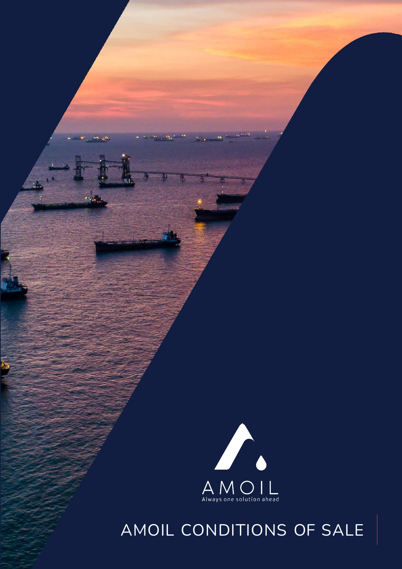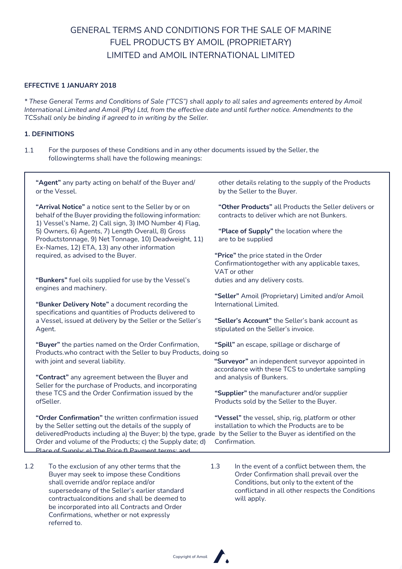# GENERAL TERMS AND CONDITIONS FOR THE SALE OF MARINE FUEL PRODUCTS BY AMOIL (PROPRIETARY) LIMITED and AMOIL INTERNATIONAL LIMITED

## **EFFECTIVE 1 JANUARY 2018**

referred to.

*\* These General Terms and Conditions of Sale ("TCS") shall apply to all sales and agreements entered by Amoil* International Limited and Amoil (Pty) Ltd, from the effective date and until further notice. Amendments to the *TCSshall only be binding if agreed to in writing by the Seller.*

### **1. DEFINITIONS**

1.1 For the purposes of these Conditions and in any other documents issued by the Seller, the followingterms shall have the following meanings:

| "Agent" any party acting on behalf of the Buyer and/<br>or the Vessel.                                                                                                                                                                                                                                                                                                         | other details relating to the supply of the Products<br>by the Seller to the Buyer.                                                                                                                              |
|--------------------------------------------------------------------------------------------------------------------------------------------------------------------------------------------------------------------------------------------------------------------------------------------------------------------------------------------------------------------------------|------------------------------------------------------------------------------------------------------------------------------------------------------------------------------------------------------------------|
| "Arrival Notice" a notice sent to the Seller by or on<br>behalf of the Buyer providing the following information:<br>1) Vessel's Name, 2) Call sign, 3) IMO Number 4) Flag,<br>5) Owners, 6) Agents, 7) Length Overall, 8) Gross<br>Productstonnage, 9) Net Tonnage, 10) Deadweight, 11)<br>Ex-Names, 12) ETA, 13) any other information<br>required, as advised to the Buyer. | "Other Products" all Products the Seller delivers or<br>contracts to deliver which are not Bunkers.                                                                                                              |
|                                                                                                                                                                                                                                                                                                                                                                                | "Place of Supply" the location where the<br>are to be supplied                                                                                                                                                   |
|                                                                                                                                                                                                                                                                                                                                                                                | "Price" the price stated in the Order<br>Confirmationtogether with any applicable taxes,<br>VAT or other                                                                                                         |
| "Bunkers" fuel oils supplied for use by the Vessel's                                                                                                                                                                                                                                                                                                                           | duties and any delivery costs.                                                                                                                                                                                   |
| engines and machinery.<br>"Bunker Delivery Note" a document recording the<br>specifications and quantities of Products delivered to<br>a Vessel, issued at delivery by the Seller or the Seller's<br>Agent.                                                                                                                                                                    | "Seller" Amoil (Proprietary) Limited and/or Amoil<br>International Limited.                                                                                                                                      |
|                                                                                                                                                                                                                                                                                                                                                                                | "Seller's Account" the Seller's bank account as<br>stipulated on the Seller's invoice.                                                                                                                           |
| "Buyer" the parties named on the Order Confirmation,<br>Products.who contract with the Seller to buy Products, doing so                                                                                                                                                                                                                                                        | "Spill" an escape, spillage or discharge of                                                                                                                                                                      |
| with joint and several liability.<br>"Contract" any agreement between the Buyer and                                                                                                                                                                                                                                                                                            | "Surveyor" an independent surveyor appointed in<br>accordance with these TCS to undertake sampling<br>and analysis of Bunkers.                                                                                   |
| Seller for the purchase of Products, and incorporating<br>these TCS and the Order Confirmation issued by the                                                                                                                                                                                                                                                                   | "Supplier" the manufacturer and/or supplier                                                                                                                                                                      |
| ofSeller.                                                                                                                                                                                                                                                                                                                                                                      | Products sold by the Seller to the Buyer.                                                                                                                                                                        |
| "Order Confirmation" the written confirmation issued<br>by the Seller setting out the details of the supply of<br>deliveredProducts including a) the Buyer; b) the type, grade by the Seller to the Buyer as identified on the<br>Order and volume of the Products; c) the Supply date; d)<br>Place of Sunnly: e) The Price f) Payment terms: and                              | "Vessel" the vessel, ship, rig, platform or other<br>installation to which the Products are to be<br>Confirmation.                                                                                               |
| 1.2<br>To the exclusion of any other terms that the<br>Buyer may seek to impose these Conditions<br>shall override and/or replace and/or<br>supersedeany of the Seller's earlier standard<br>contractualconditions and shall be deemed to<br>be incorporated into all Contracts and Order<br>Confirmations, whether or not expressly                                           | 1.3<br>In the event of a conflict between them, the<br>Order Confirmation shall prevail over the<br>Conditions, but only to the extent of the<br>conflictand in all other respects the Conditions<br>will apply. |

Copyright of Amoil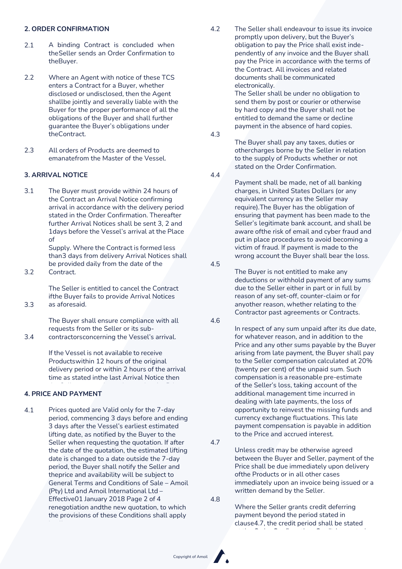- 2.1 A binding Contract is concluded when theSeller sends an Order Confirmation to theBuyer.
- Where an Agent with notice of these TCS enters a Contract for a Buyer, whether disclosed or undisclosed, then the Agent shallbe jointly and severally liable with the Buyer for the proper performance of all the obligations of the Buyer and shall further guarantee the Buyer's obligations under theContract. 2.2
- All orders of Products are deemed to emanatefrom the Master of the Vessel. 2.3

# **3. ARRIVAL NOTICE** 4.4

3.1 The Buyer must provide within 24 hours of the Contract an Arrival Notice confirming arrival in accordance with the delivery period stated in the Order Confirmation. Thereafter further Arrival Notices shall be sent 3, 2 and 1days before the Vessel's arrival at the Place of

Supply. Where the Contract is formed less than3 days from delivery Arrival Notices shall be provided daily from the date of the

Contract. 3.2

3.3

The Seller is entitled to cancel the Contract ifthe Buyer fails to provide Arrival Notices as aforesaid.

The Buyer shall ensure compliance with all requests from the Seller or its sub-

contractorsconcerning the Vessel's arrival. 3.4

> If the Vessel is not available to receive Productswithin 12 hours of the original delivery period or within 2 hours of the arrival time as stated inthe last Arrival Notice then

#### date of supply or have the right to cancel the **4. PRICE AND PAYMENT**

4.1 Prices quoted are Valid only for the 7-day period, commencing 3 days before and ending 3 days after the Vessel's earliest estimated lifting date, as notified by the Buyer to the Seller when requesting the quotation. If after the date of the quotation, the estimated lifting date is changed to a date outside the 7-day period, the Buyer shall notify the Seller and theprice and availability will be subject to General Terms and Conditions of Sale – Amoil (Pty) Ltd and Amoil International Ltd – Effective01 January 2018 Page 2 of 4 renegotiation andthe new quotation, to which the provisions of these Conditions shall apply

**2. ORDER CONFIRMATION** 4.2 The Seller shall endeavour to issue its invoice promptly upon delivery, but the Buyer's obligation to pay the Price shall exist independently of any invoice and the Buyer shall pay the Price in accordance with the terms of the Contract. All invoices and related documents shall be communicated electronically.

> The Seller shall be under no obligation to send them by post or courier or otherwise by hard copy and the Buyer shall not be entitled to demand the same or decline payment in the absence of hard copies.

4.3

The Buyer shall pay any taxes, duties or othercharges borne by the Seller in relation to the supply of Products whether or not stated on the Order Confirmation.

Payment shall be made, net of all banking charges, in United States Dollars (or any equivalent currency as the Seller may require).The Buyer has the obligation of ensuring that payment has been made to the Seller's legitimate bank account, and shall be aware ofthe risk of email and cyber fraud and put in place procedures to avoid becoming a victim of fraud. If payment is made to the wrong account the Buyer shall bear the loss.

4.5

The Buyer is not entitled to make any deductions or withhold payment of any sums due to the Seller either in part or in full by reason of any set-off, counter-claim or for anyother reason, whether relating to the Contractor past agreements or Contracts.

4.6

In respect of any sum unpaid after its due date, for whatever reason, and in addition to the Price and any other sums payable by the Buyer arising from late payment, the Buyer shall pay to the Seller compensation calculated at 20% (twenty per cent) of the unpaid sum. Such compensation is a reasonable pre-estimate of the Seller's loss, taking account of the additional management time incurred in dealing with late payments, the loss of opportunity to reinvest the missing funds and currency exchange fluctuations. This late payment compensation is payable in addition to the Price and accrued interest.

4.7

Unless credit may be otherwise agreed between the Buyer and Seller, payment of the Price shall be due immediately upon delivery ofthe Products or in all other cases immediately upon an invoice being issued or a written demand by the Seller.

4.8

Where the Seller grants credit deferring payment beyond the period stated in clause4.7, the credit period shall be stated

at the Order Confirmation. Credit is granted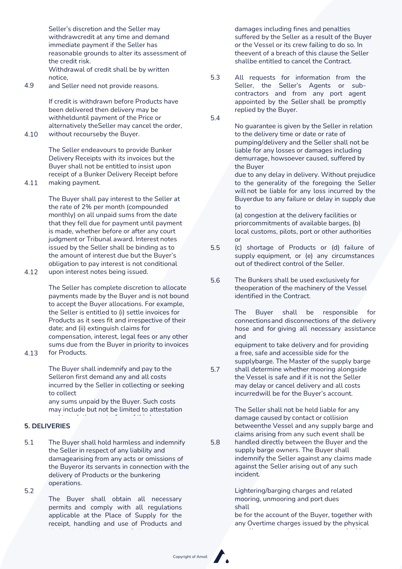Seller's discretion and the Seller may withdrawcredit at any time and demand immediate payment if the Seller has reasonable grounds to alter its assessment of the credit risk. Withdrawal of credit shall be by written notice,

and Seller need not provide reasons. 4.9

> If credit is withdrawn before Products have been delivered then delivery may be withhelduntil payment of the Price or alternatively theSeller may cancel the order,

without recourseby the Buyer. 4.10

> The Seller endeavours to provide Bunker Delivery Receipts with its invoices but the Buyer shall not be entitled to insist upon receipt of a Bunker Delivery Receipt before making payment.

The Buyer shall pay interest to the Seller at the rate of 2% per month (compounded monthly) on all unpaid sums from the date that they fell due for payment until payment is made, whether before or after any court judgment or Tribunal award. Interest notes issued by the Seller shall be binding as to the amount of interest due but the Buyer's obligation to pay interest is not conditional

upon interest notes being issued. 4.12

> The Seller has complete discretion to allocate payments made by the Buyer and is not bound to accept the Buyer allocations. For example, the Seller is entitled to (i) settle invoices for Products as it sees fit and irrespective of their date; and (ii) extinguish claims for compensation, interest, legal fees or any other sums due from the Buyer in priority to invoices for Products.

4.13

4.11

The Buyer shall indemnify and pay to the Selleron first demand any and all costs incurred by the Seller in collecting or seeking to collect

any sums unpaid by the Buyer. Such costs may include but not be limited to attestation and translation costs, fees of third party

#### debtcollection agencies, lawyer's fees and **5. DELIVERIES**

- 5.1 The Buyer shall hold harmless and indemnify the Seller in respect of any liability and damagearising from any acts or omissions of the Buyeror its servants in connection with the delivery of Products or the bunkering operations.
- 5.2

The Buyer shall obtain all necessary permits and comply with all regulations applicable at the Place of Supply for the receipt, handling and use of Products and

damages including fines and penalties suffered by the Seller as a result of the Buyer or the Vessel or its crew failing to do so. In theevent of a breach of this clause the Seller shallbe entitled to cancel the Contract.

All requests for information from the Seller, the Seller's Agents or subcontractors and from any port agent appointed by the Seller shall be promptly replied by the Buyer. 5.3

5.4

No guarantee is given by the Seller in relation to the delivery time or date or rate of pumping/delivery and the Seller shall not be liable for any losses or damages including demurrage, howsoever caused, suffered by the Buyer

due to any delay in delivery. Without prejudice to the generality of the foregoing the Seller will not be liable for any loss incurred by the Buyerdue to any failure or delay in supply due to

(a) congestion at the delivery facilities or priorcommitments of available barges, (b) local customs, pilots, port or other authorities or

- (c) shortage of Products or (d) failure of supply equipment, or (e) any circumstances out of thedirect control of the Seller. 5.5
- The Bunkers shall be used exclusively for theoperation of the machinery of the Vessel identified in the Contract. 5.6

The Buyer shall be responsible for connectionsand disconnections of the delivery hose and for giving all necessary assistance and

equipment to take delivery and for providing a free, safe and accessible side for the supplybarge. The Master of the supply barge

shall determine whether mooring alongside the Vessel is safe and if it is not the Seller may delay or cancel delivery and all costs incurredwill be for the Buyer's account. 5.7

> The Seller shall not be held liable for any damage caused by contact or collision betweenthe Vessel and any supply barge and claims arising from any such event shall be

handled directly between the Buyer and the supply barge owners. The Buyer shall indemnify the Seller against any claims made against the Seller arising out of any such incident. 5.8

> Lightering/barging charges and related mooring, unmooring and port dues shall

be for the account of the Buyer, together with any Overtime charges issued by the physical

supplier or any other party concerned with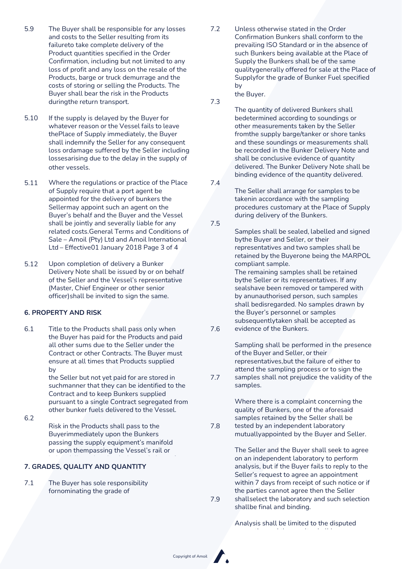- 5.9 The Buyer shall be responsible for any losses and costs to the Seller resulting from its failureto take complete delivery of the Product quantities specified in the Order Confirmation, including but not limited to any loss of profit and any loss on the resale of the Products, barge or truck demurrage and the costs of storing or selling the Products. The Buyer shall bear the risk in the Products duringthe return transport.
- If the supply is delayed by the Buyer for whatever reason or the Vessel fails to leave thePlace of Supply immediately, the Buyer shall indemnify the Seller for any consequent loss ordamage suffered by the Seller including lossesarising due to the delay in the supply of other vessels. 5.10
- 5.11 Where the regulations or practice of the Place 7.4 of Supply require that a port agent be appointed for the delivery of bunkers the Sellermay appoint such an agent on the Buyer's behalf and the Buyer and the Vessel shall be jointly and severally liable for any related costs.General Terms and Conditions of Sale – Amoil (Pty) Ltd and Amoil International Ltd – Effective01 January 2018 Page 3 of 4
- Upon completion of delivery a Bunker Delivery Note shall be issued by or on behalf of the Seller and the Vessel's representative (Master, Chief Engineer or other senior officer)shall be invited to sign the same. 5.12

#### **6. PROPERTY AND RISK**

6.1 Title to the Products shall pass only when the Buyer has paid for the Products and paid all other sums due to the Seller under the Contract or other Contracts. The Buyer must ensure at all times that Products supplied by

the Seller but not yet paid for are stored in suchmanner that they can be identified to the Contract and to keep Bunkers supplied pursuant to a single Contract segregated from other bunker fuels delivered to the Vessel.

6.2

Risk in the Products shall pass to the Buyerimmediately upon the Bunkers passing the supply equipment's manifold or upon thempassing the Vessel's rail or

Products. 7.9

# delivery. **7. GRADES, QUALITY AND QUANTITY**

7.1 The Buyer has sole responsibility fornominating the grade of

7.2 Unless otherwise stated in the Order Confirmation Bunkers shall conform to the prevailing ISO Standard or in the absence of such Bunkers being available at the Place of Supply the Bunkers shall be of the same qualitygenerally offered for sale at the Place of Supplyfor the grade of Bunker Fuel specified by

the Buyer. 7.3

> The quantity of delivered Bunkers shall bedetermined according to soundings or other measurements taken by the Seller fromthe supply barge/tanker or shore tanks and these soundings or measurements shall be recorded in the Bunker Delivery Note and shall be conclusive evidence of quantity delivered. The Bunker Delivery Note shall be binding evidence of the quantity delivered.

The Seller shall arrange for samples to be takenin accordance with the sampling procedures customary at the Place of Supply during delivery of the Bunkers.

7.5

7.8

Samples shall be sealed, labelled and signed bythe Buyer and Seller, or their representatives and two samples shall be retained by the Buyerone being the MARPOL compliant sample.

The remaining samples shall be retained bythe Seller or its representatives. If any sealshave been removed or tampered with by anunauthorised person, such samples shall bedisregarded. No samples drawn by the Buyer's personnel or samples subsequentlytaken shall be accepted as

evidence of the Bunkers. 7.6

> Sampling shall be performed in the presence of the Buyer and Seller, or their representatives,but the failure of either to attend the sampling process or to sign the

samples shall not prejudice the validity of the samples. 7.7

> Where there is a complaint concerning the quality of Bunkers, one of the aforesaid samples retained by the Seller shall be tested by an independent laboratory mutuallyappointed by the Buyer and Seller.

The Seller and the Buyer shall seek to agree on an independent laboratory to perform analysis, but if the Buyer fails to reply to the Seller's request to agree an appointment within 7 days from receipt of such notice or if the parties cannot agree then the Seller shallselect the laboratory and such selection shallbe final and binding.

Analysis shall be limited to the disputed

properties and the results shall be

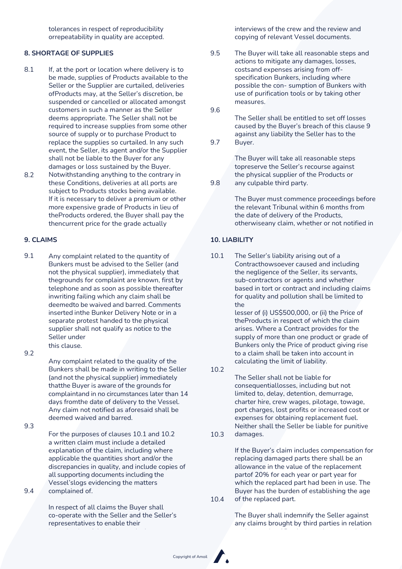tolerances in respect of reproducibility orrepeatability in quality are accepted.

#### **8. SHORTAGE OF SUPPLIES**

- 8.1 If, at the port or location where delivery is to be made, supplies of Products available to the Seller or the Supplier are curtailed, deliveries ofProducts may, at the Seller's discretion, be suspended or cancelled or allocated amongst customers in such a manner as the Seller deems appropriate. The Seller shall not be required to increase supplies from some other source of supply or to purchase Product to replace the supplies so curtailed. In any such event, the Seller, its agent and/or the Supplier shall not be liable to the Buyer for any damages or loss sustained by the Buyer.
- Notwithstanding anything to the contrary in these Conditions, deliveries at all ports are subject to Products stocks being available. If it is necessary to deliver a premium or other more expensive grade of Products in lieu of theProducts ordered, the Buyer shall pay the thencurrent price for the grade actually 8.2

9.1 Any complaint related to the quantity of Bunkers must be advised to the Seller (and not the physical supplier), immediately that thegrounds for complaint are known, first by telephone and as soon as possible thereafter inwriting failing which any claim shall be deemedto be waived and barred. Comments inserted inthe Bunker Delivery Note or in a separate protest handed to the physical supplier shall not qualify as notice to the Seller under this clause.

9.2

Any complaint related to the quality of the Bunkers shall be made in writing to the Seller (and not the physical supplier) immediately thatthe Buyer is aware of the grounds for complaintand in no circumstances later than 14 days fromthe date of delivery to the Vessel. Any claim not notified as aforesaid shall be deemed waived and barred.

9.3

For the purposes of clauses 10.1 and 10.2 a written claim must include a detailed explanation of the claim, including where applicable the quantities short and/or the discrepancies in quality, and include copies of all supporting documents including the Vessel'slogs evidencing the matters complained of.

9.4

In respect of all claims the Buyer shall co-operate with the Seller and the Seller's representatives to enable their

interviews of the crew and the review and copying of relevant Vessel documents.

The Buyer will take all reasonable steps and actions to mitigate any damages, losses, costsand expenses arising from offspecification Bunkers, including where possible the con- sumption of Bunkers with use of purification tools or by taking other measures. 9.5

9.6

9.8

The Seller shall be entitled to set off losses caused by the Buyer's breach of this clause 9 against any liability the Seller has to the

Buyer. 9.7

> The Buyer will take all reasonable steps topreserve the Seller's recourse against the physical supplier of the Products or any culpable third party.

The Buyer must commence proceedings before the relevant Tribunal within 6 months from the date of delivery of the Products, otherwiseany claim, whether or not notified in

#### deemed forever waived and time barred. **9. CLAIMS 10. LIABILITY**

10.1 The Seller's liability arising out of a Contracthowsoever caused and including the negligence of the Seller, its servants, sub-contractors or agents and whether based in tort or contract and including claims for quality and pollution shall be limited to the

> lesser of (i) US\$500,000, or (ii) the Price of theProducts in respect of which the claim arises. Where a Contract provides for the supply of more than one product or grade of Bunkers only the Price of product giving rise to a claim shall be taken into account in calculating the limit of liability.

10.2

The Seller shall not be liable for consequentiallosses, including but not limited to, delay, detention, demurrage, charter hire, crew wages, pilotage, towage, port charges, lost profits or increased cost or expenses for obtaining replacement fuel. Neither shall the Seller be liable for punitive damages.

10.3

If the Buyer's claim includes compensation for replacing damaged parts there shall be an allowance in the value of the replacement partof 20% for each year or part year for which the replaced part had been in use. The Buyer has the burden of establishing the age

of the replaced part. 10.4

> The Buyer shall indemnify the Seller against any claims brought by third parties in relation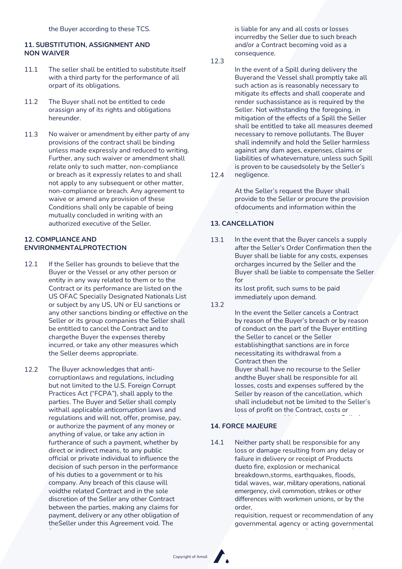# **11. SUBSTITUTION, ASSIGNMENT AND NON WAIVER**

- 11.1 The seller shall be entitled to substitute itself with a third party for the performance of all orpart of its obligations.
- The Buyer shall not be entitled to cede orassign any of its rights and obligations hereunder. 11.2
- No waiver or amendment by either party of any provisions of the contract shall be binding unless made expressly and reduced to writing. Further, any such waiver or amendment shall relate only to such matter, non-compliance or breach as it expressly relates to and shall not apply to any subsequent or other matter, non-compliance or breach. Any agreement to waive or amend any provision of these Conditions shall only be capable of being mutually concluded in writing with an authorized executive of the Seller. 11.3

# **12. COMPLIANCE AND ENVIRONMENTALPROTECTION**

- 12.1 If the Seller has grounds to believe that the Buyer or the Vessel or any other person or entity in any way related to them or to the Contract or its performance are listed on the US OFAC Specially Designated Nationals List or subject by any US, UN or EU sanctions or any other sanctions binding or effective on the Seller or its group companies the Seller shall be entitled to cancel the Contract and to chargethe Buyer the expenses thereby incurred, or take any other measures which the Seller deems appropriate.
- The Buyer acknowledges that anticorruptionlaws and regulations, including but not limited to the U.S. Foreign Corrupt Practices Act ("FCPA"), shall apply to the parties. The Buyer and Seller shall comply withall applicable anticorruption laws and regulations and will not, offer, promise, pay, or authorize the payment of any money or anything of value, or take any action in furtherance of such a payment, whether by direct or indirect means, to any public official or private individual to influence the decision of such person in the performance of his duties to a government or to his company. Any breach of this clause will voidthe related Contract and in the sole discretion of the Seller any other Contract between the parties, making any claims for payment, delivery or any other obligation of theSeller under this Agreement void. The 12.2

is liable for any and all costs or losses incurredby the Seller due to such breach and/or a Contract becoming void as a consequence.

12.3

In the event of a Spill during delivery the Buyerand the Vessel shall promptly take all such action as is reasonably necessary to mitigate its effects and shall cooperate and render suchassistance as is required by the Seller. Not withstanding the foregoing, in mitigation of the effects of a Spill the Seller shall be entitled to take all measures deemed necessary to remove pollutants. The Buyer shall indemnify and hold the Seller harmless against any dam ages, expenses, claims or liabilities of whatevernature, unless such Spill is proven to be causedsolely by the Seller's

negligence. 12.4

> At the Seller's request the Buyer shall provide to the Seller or procure the provision ofdocuments and information within the

# possession or control concerning any Spill. **13. CANCELLATION**

13.1 In the event that the Buyer cancels a supply after the Seller's Order Confirmation then the Buyer shall be liable for any costs, expenses orcharges incurred by the Seller and the Buyer shall be liable to compensate the Seller for

> its lost profit, such sums to be paid immediately upon demand.

13.2

In the event the Seller cancels a Contract by reason of the Buyer's breach or by reason of conduct on the part of the Buyer entitling the Seller to cancel or the Seller establishingthat sanctions are in force necessitating its withdrawal from a Contract then the Buyer shall have no recourse to the Seller

andthe Buyer shall be responsible for all losses, costs and expenses suffered by the Seller by reason of the cancellation, which shall includebut not be limited to the Seller's loss of profit on the Contract, costs or

# sub-contractors or suppliers, and **14. FORCE MAJEURE**

14.1 Neither party shall be responsible for any loss or damage resulting from any delay or failure in delivery or receipt of Products dueto fire, explosion or mechanical breakdown,storms, earthquakes, floods, tidal waves, war, military operations, national emergency, civil commotion, strikes or other differences with workmen unions, or by the order,

requisition, request or recommendation of any governmental agency or acting governmental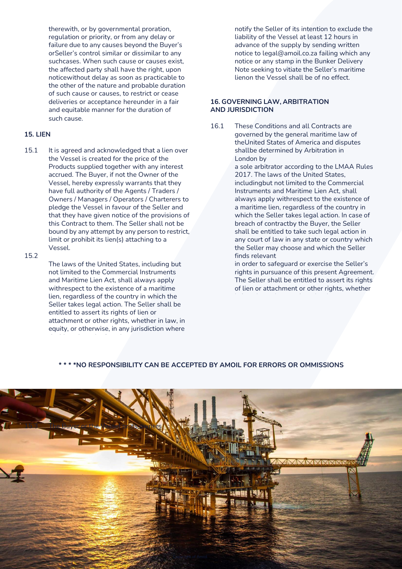therewith, or by governmental proration, regulation or priority, or from any delay or failure due to any causes beyond the Buyer's orSeller's control similar or dissimilar to any suchcases. When such cause or causes exist, the affected party shall have the right, upon noticewithout delay as soon as practicable to the other of the nature and probable duration of such cause or causes, to restrict or cease deliveries or acceptance hereunder in a fair and equitable manner for the duration of such cause.

#### **15. LIEN**

15.1 It is agreed and acknowledged that a lien over the Vessel is created for the price of the Products supplied together with any interest accrued. The Buyer, if not the Owner of the Vessel, hereby expressly warrants that they have full authority of the Agents / Traders / Owners / Managers / Operators / Charterers to pledge the Vessel in favour of the Seller and that they have given notice of the provisions of this Contract to them. The Seller shall not be bound by any attempt by any person to restrict, limit or prohibit its lien(s) attaching to a Vessel.

#### 15.2

The laws of the United States, including but not limited to the Commercial Instruments and Maritime Lien Act, shall always apply withrespect to the existence of a maritime lien, regardless of the country in which the Seller takes legal action. The Seller shall be entitled to assert its rights of lien or attachment or other rights, whether in law, in equity, or otherwise, in any jurisdiction where

notify the Seller of its intention to exclude the liability of the Vessel at least 12 hours in advance of the supply by sending written notice to [legal@amoil.co.za](mailto:legal@amoil.co.za) failing which any notice or any stamp in the Bunker Delivery Note seeking to vitiate the Seller's maritime lienon the Vessel shall be of no effect.

#### **16. GOVERNING LAW, ARBITRATION AND JURISDICTION**

16.1 These Conditions and all Contracts are governed by the general maritime law of theUnited States of America and disputes shallbe determined by Arbitration in London by

> a sole arbitrator according to the LMAA Rules 2017. The laws of the United States, includingbut not limited to the Commercial Instruments and Maritime Lien Act, shall always apply withrespect to the existence of a maritime lien, regardless of the country in which the Seller takes legal action. In case of breach of contractby the Buyer, the Seller shall be entitled to take such legal action in any court of law in any state or country which the Seller may choose and which the Seller finds relevant

> in order to safeguard or exercise the Seller's rights in pursuance of this present Agreement. The Seller shall be entitled to assert its rights of lien or attachment or other rights, whether

# **\* \* \* \*NO RESPONSIBILITY CAN BE ACCEPTED BY AMOIL FOR ERRORS OR OMMISSIONS**